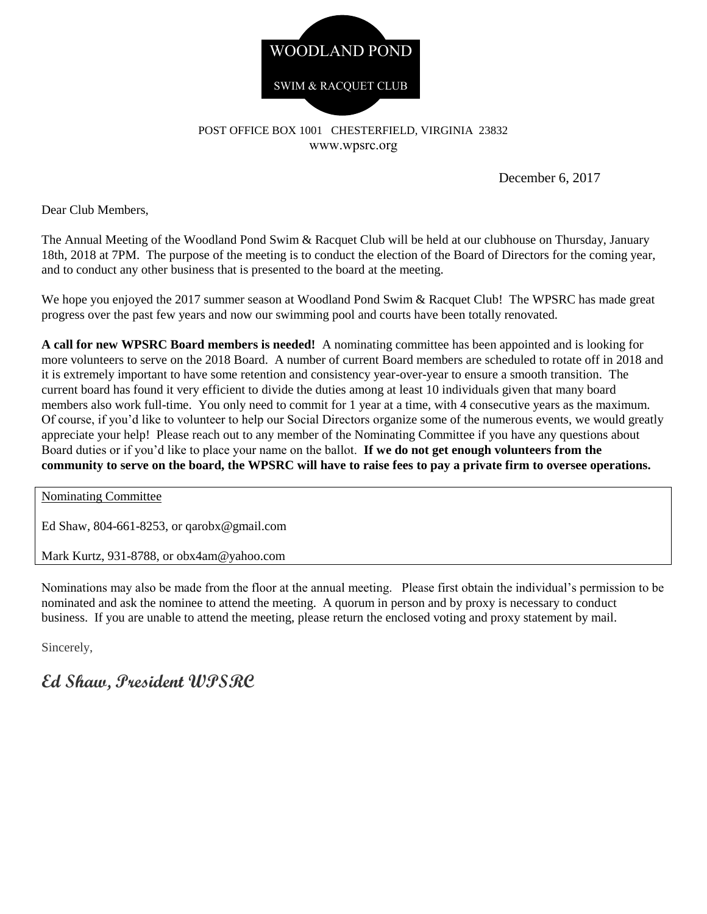

POST OFFICE BOX 1001 CHESTERFIELD, VIRGINIA 23832 www.wpsrc.org

December 6, 2017

Dear Club Members,

The Annual Meeting of the Woodland Pond Swim & Racquet Club will be held at our clubhouse on Thursday, January 18th, 2018 at 7PM. The purpose of the meeting is to conduct the election of the Board of Directors for the coming year, and to conduct any other business that is presented to the board at the meeting.

We hope you enjoyed the 2017 summer season at Woodland Pond Swim & Racquet Club! The WPSRC has made great progress over the past few years and now our swimming pool and courts have been totally renovated.

**A call for new WPSRC Board members is needed!** A nominating committee has been appointed and is looking for more volunteers to serve on the 2018 Board. A number of current Board members are scheduled to rotate off in 2018 and it is extremely important to have some retention and consistency year-over-year to ensure a smooth transition. The current board has found it very efficient to divide the duties among at least 10 individuals given that many board members also work full-time. You only need to commit for 1 year at a time, with 4 consecutive years as the maximum. Of course, if you'd like to volunteer to help our Social Directors organize some of the numerous events, we would greatly appreciate your help! Please reach out to any member of the Nominating Committee if you have any questions about Board duties or if you'd like to place your name on the ballot. **If we do not get enough volunteers from the community to serve on the board, the WPSRC will have to raise fees to pay a private firm to oversee operations.**

Nominating Committee

Ed Shaw, 804-661-8253, or qarobx@gmail.com

Mark Kurtz, 931-8788, or [obx4am@yahoo.com](mailto:obx4am@yahoo.com)

Nominations may also be made from the floor at the annual meeting. Please first obtain the individual's permission to be nominated and ask the nominee to attend the meeting. A quorum in person and by proxy is necessary to conduct business. If you are unable to attend the meeting, please return the enclosed voting and proxy statement by mail.

Sincerely,

**Ed Shaw, President WPSRC**